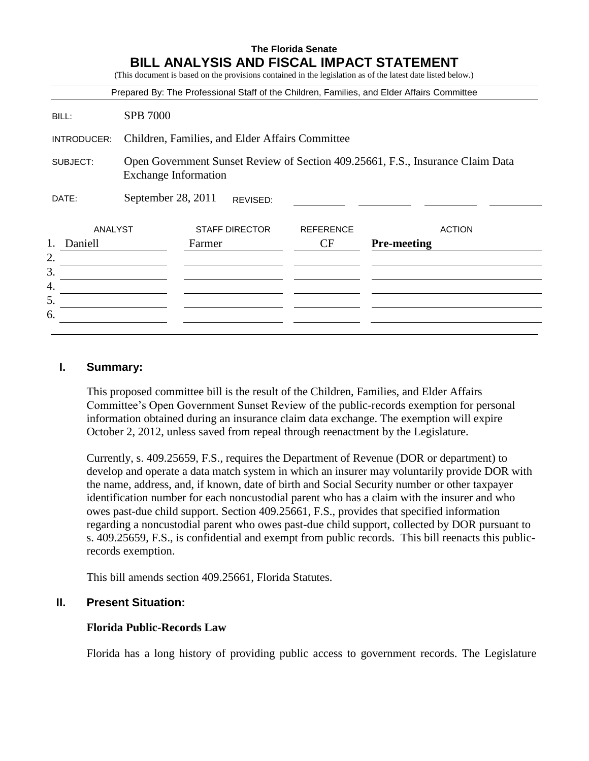|               |                                                                                                               | <b>BILL ANALYSIS AND FISCAL IMPACT STATEMENT</b><br>(This document is based on the provisions contained in the legislation as of the latest date listed below.) | <b>The Florida Senate</b> |                                                                                            |
|---------------|---------------------------------------------------------------------------------------------------------------|-----------------------------------------------------------------------------------------------------------------------------------------------------------------|---------------------------|--------------------------------------------------------------------------------------------|
|               |                                                                                                               |                                                                                                                                                                 |                           | Prepared By: The Professional Staff of the Children, Families, and Elder Affairs Committee |
| BILL:         | <b>SPB 7000</b>                                                                                               |                                                                                                                                                                 |                           |                                                                                            |
| INTRODUCER:   | Children, Families, and Elder Affairs Committee                                                               |                                                                                                                                                                 |                           |                                                                                            |
| SUBJECT:      | Open Government Sunset Review of Section 409.25661, F.S., Insurance Claim Data<br><b>Exchange Information</b> |                                                                                                                                                                 |                           |                                                                                            |
| DATE:         | September 28, 2011                                                                                            | REVISED:                                                                                                                                                        |                           |                                                                                            |
| ANALYST       |                                                                                                               | <b>STAFF DIRECTOR</b>                                                                                                                                           | <b>REFERENCE</b>          | <b>ACTION</b>                                                                              |
| 1.<br>Daniell |                                                                                                               | Farmer                                                                                                                                                          | CF                        | <b>Pre-meeting</b>                                                                         |
| 2.            |                                                                                                               |                                                                                                                                                                 |                           |                                                                                            |
| 3.<br>4.      |                                                                                                               |                                                                                                                                                                 |                           |                                                                                            |
| 5.            |                                                                                                               |                                                                                                                                                                 |                           |                                                                                            |
| 6.            |                                                                                                               |                                                                                                                                                                 |                           |                                                                                            |
|               |                                                                                                               |                                                                                                                                                                 |                           |                                                                                            |

### **I. Summary:**

This proposed committee bill is the result of the Children, Families, and Elder Affairs Committee's Open Government Sunset Review of the public-records exemption for personal information obtained during an insurance claim data exchange. The exemption will expire October 2, 2012, unless saved from repeal through reenactment by the Legislature.

Currently, s. 409.25659, F.S., requires the Department of Revenue (DOR or department) to develop and operate a data match system in which an insurer may voluntarily provide DOR with the name, address, and, if known, date of birth and Social Security number or other taxpayer identification number for each noncustodial parent who has a claim with the insurer and who owes past-due child support. Section 409.25661, F.S., provides that specified information regarding a noncustodial parent who owes past-due child support, collected by DOR pursuant to s. 409.25659, F.S., is confidential and exempt from public records. This bill reenacts this publicrecords exemption.

This bill amends section 409.25661, Florida Statutes.

### **II. Present Situation:**

#### **Florida Public-Records Law**

Florida has a long history of providing public access to government records. The Legislature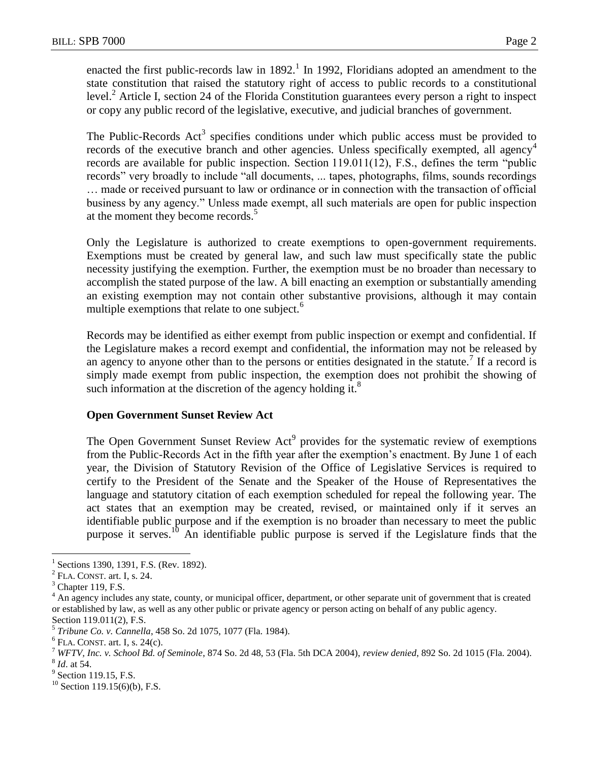enacted the first public-records law in  $1892$ .<sup>1</sup> In 1992, Floridians adopted an amendment to the state constitution that raised the statutory right of access to public records to a constitutional level.<sup>2</sup> Article I, section 24 of the Florida Constitution guarantees every person a right to inspect or copy any public record of the legislative, executive, and judicial branches of government.

The Public-Records  $Act<sup>3</sup>$  specifies conditions under which public access must be provided to records of the executive branch and other agencies. Unless specifically exempted, all agency<sup>4</sup> records are available for public inspection. Section 119.011(12), F.S., defines the term "public records" very broadly to include "all documents, ... tapes, photographs, films, sounds recordings … made or received pursuant to law or ordinance or in connection with the transaction of official business by any agency." Unless made exempt, all such materials are open for public inspection at the moment they become records.<sup>5</sup>

Only the Legislature is authorized to create exemptions to open-government requirements. Exemptions must be created by general law, and such law must specifically state the public necessity justifying the exemption. Further, the exemption must be no broader than necessary to accomplish the stated purpose of the law. A bill enacting an exemption or substantially amending an existing exemption may not contain other substantive provisions, although it may contain multiple exemptions that relate to one subject.<sup>6</sup>

Records may be identified as either exempt from public inspection or exempt and confidential. If the Legislature makes a record exempt and confidential, the information may not be released by an agency to anyone other than to the persons or entities designated in the statute.<sup>7</sup> If a record is simply made exempt from public inspection, the exemption does not prohibit the showing of such information at the discretion of the agency holding it. $8$ 

# **Open Government Sunset Review Act**

The Open Government Sunset Review  $Act^9$  provides for the systematic review of exemptions from the Public-Records Act in the fifth year after the exemption's enactment. By June 1 of each year, the Division of Statutory Revision of the Office of Legislative Services is required to certify to the President of the Senate and the Speaker of the House of Representatives the language and statutory citation of each exemption scheduled for repeal the following year. The act states that an exemption may be created, revised, or maintained only if it serves an identifiable public purpose and if the exemption is no broader than necessary to meet the public purpose it serves.<sup>10</sup> An identifiable public purpose is served if the Legislature finds that the

 $\overline{a}$ 

<sup>9</sup> Section 119.15, F.S.

<sup>1</sup> Sections 1390, 1391, F.S. (Rev. 1892).

 $<sup>2</sup>$  FLA. CONST. art. I, s. 24.</sup>

 $3$  Chapter 119, F.S.

<sup>&</sup>lt;sup>4</sup> An agency includes any state, county, or municipal officer, department, or other separate unit of government that is created or established by law, as well as any other public or private agency or person acting on behalf of any public agency. Section 119.011(2), F.S.

<sup>5</sup> *Tribune Co. v. Cannella*, 458 So. 2d 1075, 1077 (Fla. 1984).

 $<sup>6</sup>$  FLA. CONST. art. I, s. 24(c).</sup>

<sup>7</sup> *WFTV, Inc. v. School Bd. of Seminole*, 874 So. 2d 48, 53 (Fla. 5th DCA 2004), *review denied*, 892 So. 2d 1015 (Fla. 2004). 8 *Id*. at 54.

 $^{10}$  Section 119.15(6)(b), F.S.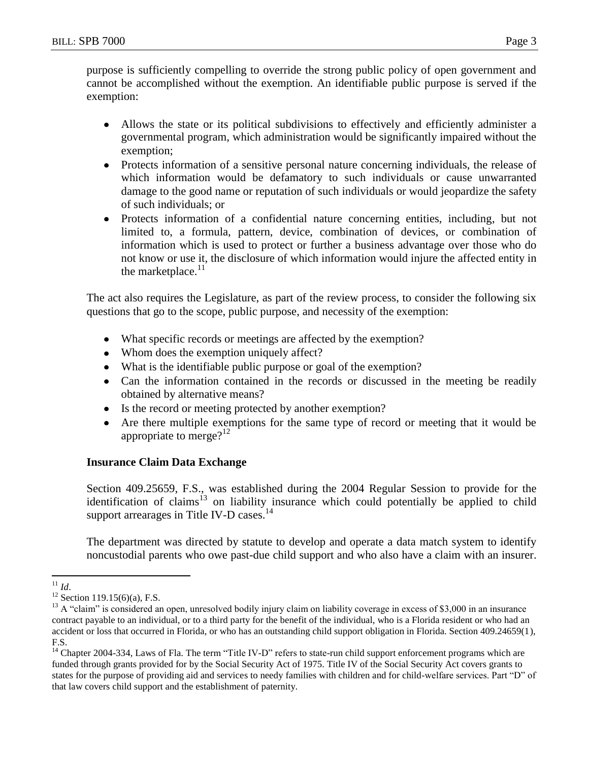purpose is sufficiently compelling to override the strong public policy of open government and cannot be accomplished without the exemption. An identifiable public purpose is served if the exemption:

- Allows the state or its political subdivisions to effectively and efficiently administer a governmental program, which administration would be significantly impaired without the exemption;
- Protects information of a sensitive personal nature concerning individuals, the release of which information would be defamatory to such individuals or cause unwarranted damage to the good name or reputation of such individuals or would jeopardize the safety of such individuals; or
- Protects information of a confidential nature concerning entities, including, but not limited to, a formula, pattern, device, combination of devices, or combination of information which is used to protect or further a business advantage over those who do not know or use it, the disclosure of which information would injure the affected entity in the marketplace. $11$

The act also requires the Legislature, as part of the review process, to consider the following six questions that go to the scope, public purpose, and necessity of the exemption:

- What specific records or meetings are affected by the exemption?
- Whom does the exemption uniquely affect?
- What is the identifiable public purpose or goal of the exemption?
- Can the information contained in the records or discussed in the meeting be readily obtained by alternative means?
- Is the record or meeting protected by another exemption?
- $\bullet$ Are there multiple exemptions for the same type of record or meeting that it would be appropriate to merge? $12$

# **Insurance Claim Data Exchange**

Section 409.25659, F.S., was established during the 2004 Regular Session to provide for the identification of claims<sup>13</sup> on liability insurance which could potentially be applied to child support arrearages in Title IV-D cases.<sup>14</sup>

The department was directed by statute to develop and operate a data match system to identify noncustodial parents who owe past-due child support and who also have a claim with an insurer.

 $\overline{a}$ <sup>11</sup> *Id*.

 $12$  Section 119.15(6)(a), F.S.

<sup>&</sup>lt;sup>13</sup> A "claim" is considered an open, unresolved bodily injury claim on liability coverage in excess of \$3,000 in an insurance contract payable to an individual, or to a third party for the benefit of the individual, who is a Florida resident or who had an accident or loss that occurred in Florida, or who has an outstanding child support obligation in Florida. Section 409.24659(1), F.S.

<sup>&</sup>lt;sup>14</sup> Chapter 2004-334, Laws of Fla. The term "Title IV-D" refers to state-run child support enforcement programs which are funded through grants provided for by the Social Security Act of 1975. Title IV of the Social Security Act covers grants to states for the purpose of providing aid and services to needy families with children and for child-welfare services. Part "D" of that law covers child support and the establishment of paternity.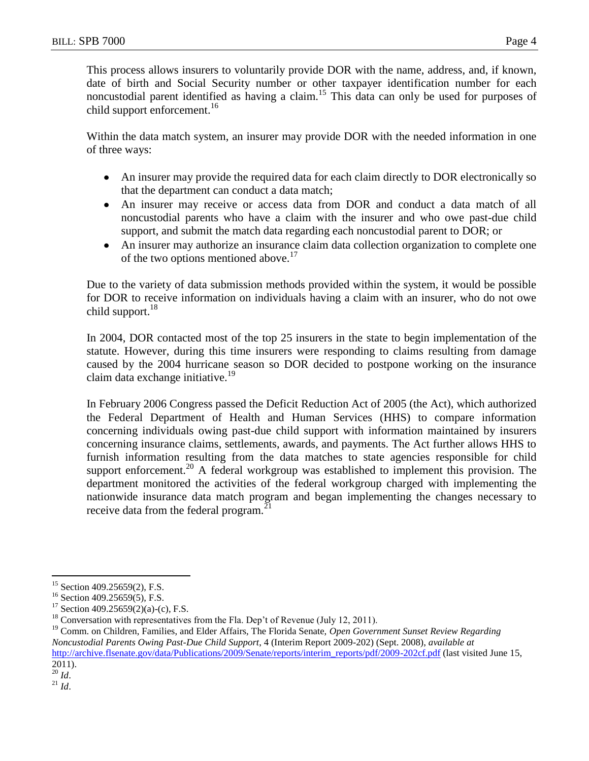This process allows insurers to voluntarily provide DOR with the name, address, and, if known, date of birth and Social Security number or other taxpayer identification number for each noncustodial parent identified as having a claim.<sup>15</sup> This data can only be used for purposes of child support enforcement.<sup>16</sup>

Within the data match system, an insurer may provide DOR with the needed information in one of three ways:

- An insurer may provide the required data for each claim directly to DOR electronically so that the department can conduct a data match;
- An insurer may receive or access data from DOR and conduct a data match of all noncustodial parents who have a claim with the insurer and who owe past-due child support, and submit the match data regarding each noncustodial parent to DOR; or
- An insurer may authorize an insurance claim data collection organization to complete one of the two options mentioned above.<sup>17</sup>

Due to the variety of data submission methods provided within the system, it would be possible for DOR to receive information on individuals having a claim with an insurer, who do not owe child support. $18$ 

In 2004, DOR contacted most of the top 25 insurers in the state to begin implementation of the statute. However, during this time insurers were responding to claims resulting from damage caused by the 2004 hurricane season so DOR decided to postpone working on the insurance claim data exchange initiative.<sup>19</sup>

In February 2006 Congress passed the Deficit Reduction Act of 2005 (the Act), which authorized the Federal Department of Health and Human Services (HHS) to compare information concerning individuals owing past-due child support with information maintained by insurers concerning insurance claims, settlements, awards, and payments. The Act further allows HHS to furnish information resulting from the data matches to state agencies responsible for child support enforcement.<sup>20</sup> A federal workgroup was established to implement this provision. The department monitored the activities of the federal workgroup charged with implementing the nationwide insurance data match program and began implementing the changes necessary to receive data from the federal program. $^{21}$ 

 $\overline{a}$ <sup>15</sup> Section 409.25659(2), F.S.

<sup>&</sup>lt;sup>16</sup> Section 409.25659(5), F.S.

<sup>&</sup>lt;sup>17</sup> Section 409.25659(2)(a)-(c), F.S.

 $^{18}$  Conversation with representatives from the Fla. Dep't of Revenue (July 12, 2011).

<sup>19</sup> Comm. on Children, Families, and Elder Affairs, The Florida Senate, *Open Government Sunset Review Regarding Noncustodial Parents Owing Past-Due Child Support*, 4 (Interim Report 2009-202) (Sept. 2008), *available at* [http://archive.flsenate.gov/data/Publications/2009/Senate/reports/interim\\_reports/pdf/2009-202cf.pdf](http://archive.flsenate.gov/data/Publications/2009/Senate/reports/interim_reports/pdf/2009-202cf.pdf) (last visited June 15, 2011).

 $^{20}$  *Id.* 

<sup>21</sup> *Id*.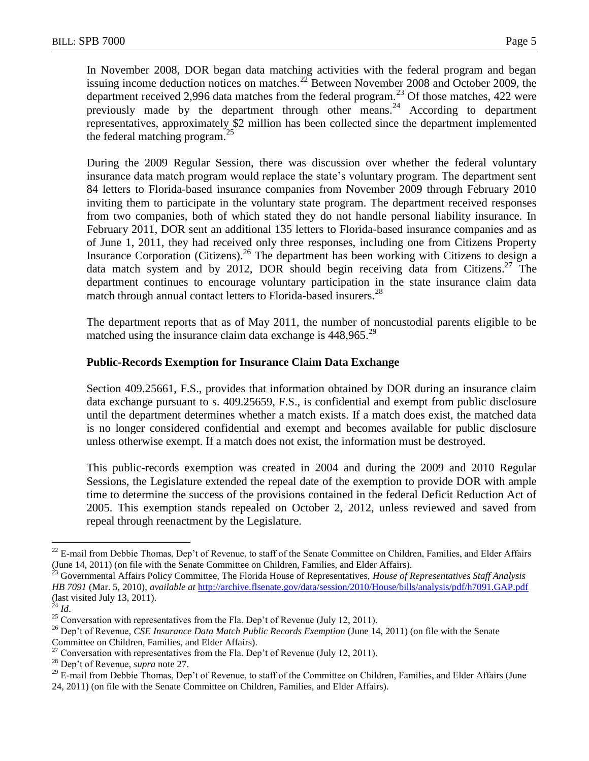In November 2008, DOR began data matching activities with the federal program and began issuing income deduction notices on matches.<sup>22</sup> Between November 2008 and October 2009, the department received 2,996 data matches from the federal program.<sup>23</sup> Of those matches, 422 were previously made by the department through other means.<sup>24</sup> According to department representatives, approximately \$2 million has been collected since the department implemented the federal matching program.<sup>25</sup>

During the 2009 Regular Session, there was discussion over whether the federal voluntary insurance data match program would replace the state's voluntary program. The department sent 84 letters to Florida-based insurance companies from November 2009 through February 2010 inviting them to participate in the voluntary state program. The department received responses from two companies, both of which stated they do not handle personal liability insurance. In February 2011, DOR sent an additional 135 letters to Florida-based insurance companies and as of June 1, 2011, they had received only three responses, including one from Citizens Property Insurance Corporation (Citizens).<sup>26</sup> The department has been working with Citizens to design a data match system and by 2012, DOR should begin receiving data from Citizens.<sup>27</sup> The department continues to encourage voluntary participation in the state insurance claim data match through annual contact letters to Florida-based insurers.<sup>28</sup>

The department reports that as of May 2011, the number of noncustodial parents eligible to be matched using the insurance claim data exchange is  $448,965.^29$ 

### **Public-Records Exemption for Insurance Claim Data Exchange**

Section 409.25661, F.S., provides that information obtained by DOR during an insurance claim data exchange pursuant to s. 409.25659, F.S., is confidential and exempt from public disclosure until the department determines whether a match exists. If a match does exist, the matched data is no longer considered confidential and exempt and becomes available for public disclosure unless otherwise exempt. If a match does not exist, the information must be destroyed.

This public-records exemption was created in 2004 and during the 2009 and 2010 Regular Sessions, the Legislature extended the repeal date of the exemption to provide DOR with ample time to determine the success of the provisions contained in the federal Deficit Reduction Act of 2005. This exemption stands repealed on October 2, 2012, unless reviewed and saved from repeal through reenactment by the Legislature.

 $\overline{a}$ 

 $22$  E-mail from Debbie Thomas, Dep't of Revenue, to staff of the Senate Committee on Children, Families, and Elder Affairs (June 14, 2011) (on file with the Senate Committee on Children, Families, and Elder Affairs).

<sup>&</sup>lt;sup>23</sup> Governmental Affairs Policy Committee, The Florida House of Representatives, *House of Representatives Staff Analysis HB 7091* (Mar. 5, 2010), *available at* <http://archive.flsenate.gov/data/session/2010/House/bills/analysis/pdf/h7091.GAP.pdf> (last visited July 13, 2011).

 $^{24}$  *Id.* 

<sup>&</sup>lt;sup>25</sup> Conversation with representatives from the Fla. Dep't of Revenue (July 12, 2011).

<sup>26</sup> Dep't of Revenue, *CSE Insurance Data Match Public Records Exemption* (June 14, 2011) (on file with the Senate Committee on Children, Families, and Elder Affairs).

<sup>&</sup>lt;sup>27</sup> Conversation with representatives from the Fla. Dep't of Revenue (July 12, 2011).

<sup>28</sup> Dep't of Revenue, *supra* note 27.

<sup>&</sup>lt;sup>29</sup> E-mail from Debbie Thomas, Dep't of Revenue, to staff of the Committee on Children, Families, and Elder Affairs (June 24, 2011) (on file with the Senate Committee on Children, Families, and Elder Affairs).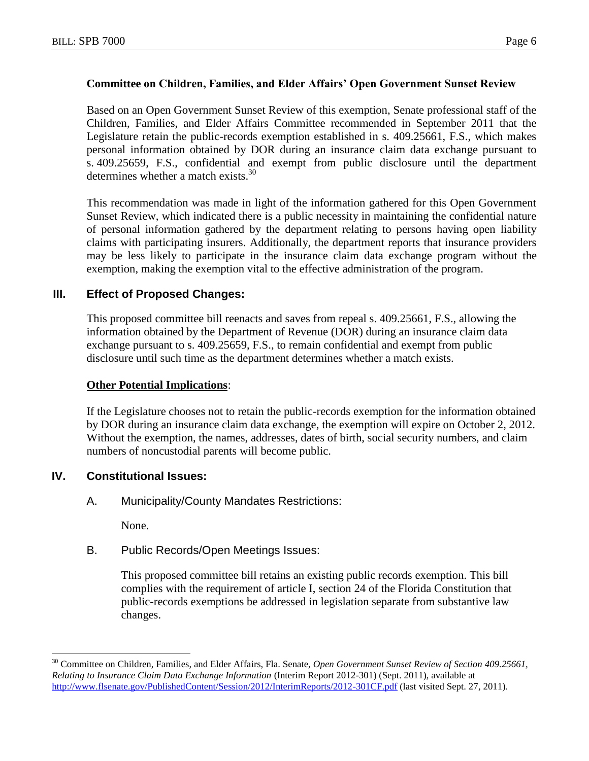### **Committee on Children, Families, and Elder Affairs' Open Government Sunset Review**

Based on an Open Government Sunset Review of this exemption, Senate professional staff of the Children, Families, and Elder Affairs Committee recommended in September 2011 that the Legislature retain the public-records exemption established in s. 409.25661, F.S., which makes personal information obtained by DOR during an insurance claim data exchange pursuant to s. 409.25659, F.S., confidential and exempt from public disclosure until the department determines whether a match exists. $30$ 

This recommendation was made in light of the information gathered for this Open Government Sunset Review, which indicated there is a public necessity in maintaining the confidential nature of personal information gathered by the department relating to persons having open liability claims with participating insurers. Additionally, the department reports that insurance providers may be less likely to participate in the insurance claim data exchange program without the exemption, making the exemption vital to the effective administration of the program.

# **III. Effect of Proposed Changes:**

This proposed committee bill reenacts and saves from repeal s. 409.25661, F.S., allowing the information obtained by the Department of Revenue (DOR) during an insurance claim data exchange pursuant to s. 409.25659, F.S., to remain confidential and exempt from public disclosure until such time as the department determines whether a match exists.

#### **Other Potential Implications**:

If the Legislature chooses not to retain the public-records exemption for the information obtained by DOR during an insurance claim data exchange, the exemption will expire on October 2, 2012. Without the exemption, the names, addresses, dates of birth, social security numbers, and claim numbers of noncustodial parents will become public.

# **IV. Constitutional Issues:**

A. Municipality/County Mandates Restrictions:

None.

 $\overline{a}$ 

B. Public Records/Open Meetings Issues:

This proposed committee bill retains an existing public records exemption. This bill complies with the requirement of article I, section 24 of the Florida Constitution that public-records exemptions be addressed in legislation separate from substantive law changes.

<sup>&</sup>lt;sup>30</sup> Committee on Children, Families, and Elder Affairs, Fla. Senate, Open Government Sunset Review of Section 409.25661, *Relating to Insurance Claim Data Exchange Information* (Interim Report 2012-301) (Sept. 2011), available at <http://www.flsenate.gov/PublishedContent/Session/2012/InterimReports/2012-301CF.pdf> (last visited Sept. 27, 2011).